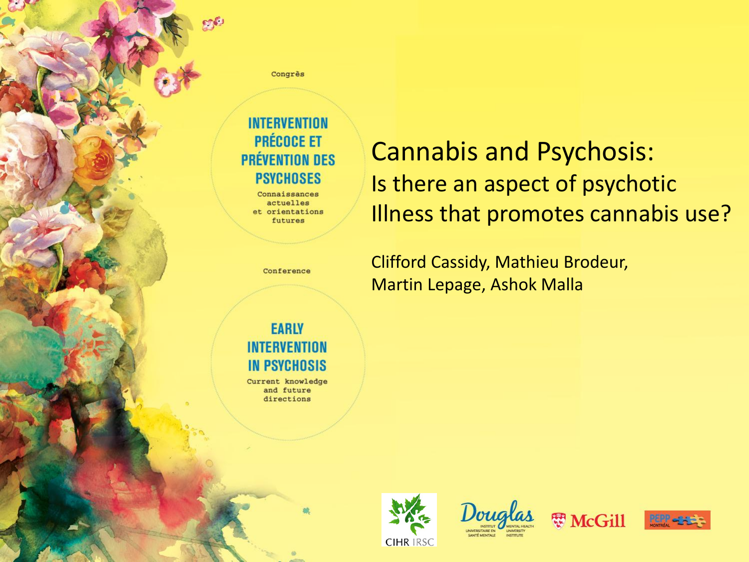Congrès

#### **INTERVENTION PRÉCOCE ET PRÉVENTION DES PSYCHOSES**

Connaissances actuelles et orientations futures

### Cannabis and Psychosis: Is there an aspect of psychotic Illness that promotes cannabis use?

Conference

Clifford Cassidy, Mathieu Brodeur, Martin Lepage, Ashok Malla

#### **EARLY INTERVENTION IN PSYCHOSIS**

Current knowledge and future directions







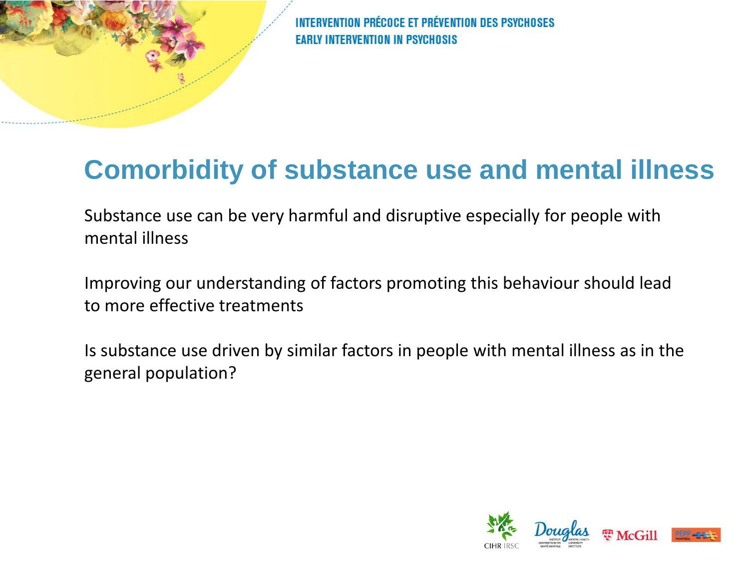## **Comorbidity of substance use and mental illness**

Substance use can be very harmful and disruptive especially for people with mental illness

Improving our understanding of factors promoting this behaviour should lead to more effective treatments

Is substance use driven by similar factors in people with mental illness as in the general population?

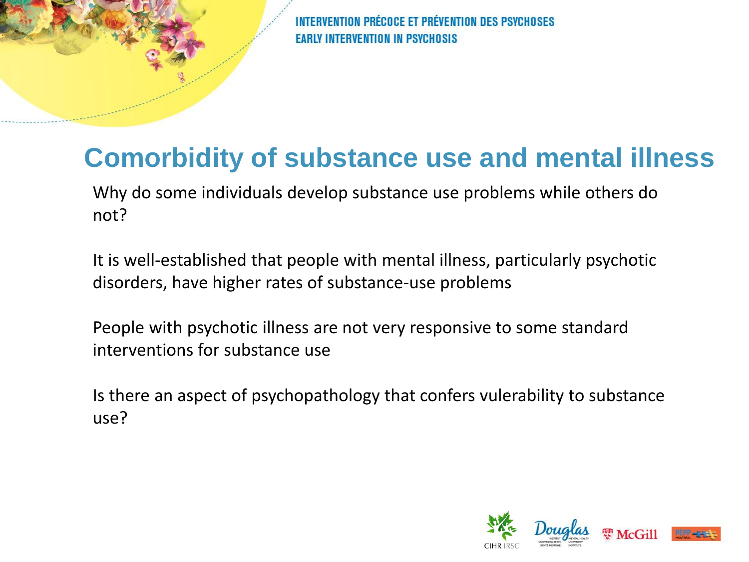# **Comorbidity of substance use and mental illness**

Why do some individuals develop substance use problems while others do not?

It is well-established that people with mental illness, particularly psychotic disorders, have higher rates of substance-use problems

People with psychotic illness are not very responsive to some standard interventions for substance use

Is there an aspect of psychopathology that confers vulerability to substance use?

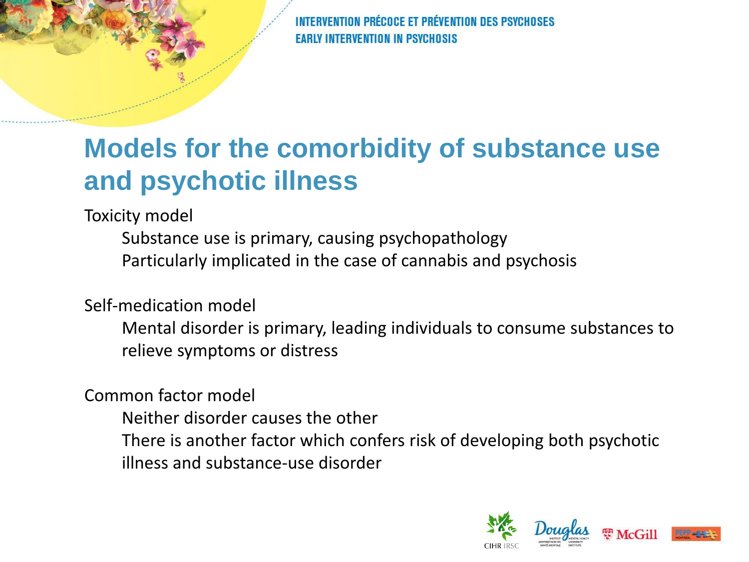# **Models for the comorbidity of substance use and psychotic illness**

Toxicity model

Substance use is primary, causing psychopathology Particularly implicated in the case of cannabis and psychosis

Self-medication model

Mental disorder is primary, leading individuals to consume substances to relieve symptoms or distress

Common factor model

Neither disorder causes the other

There is another factor which confers risk of developing both psychotic illness and substance-use disorder

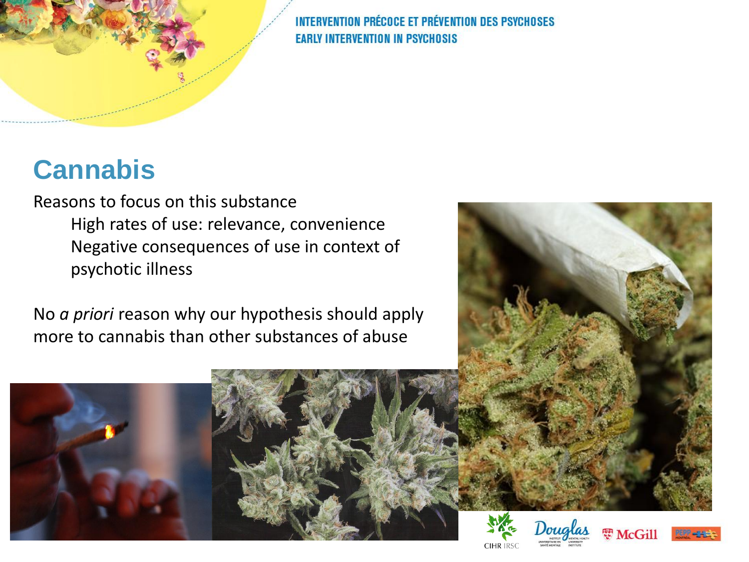# **Cannabis**

Reasons to focus on this substance High rates of use: relevance, convenience Negative consequences of use in context of psychotic illness

No *a priori* reason why our hypothesis should apply more to cannabis than other substances of abuse











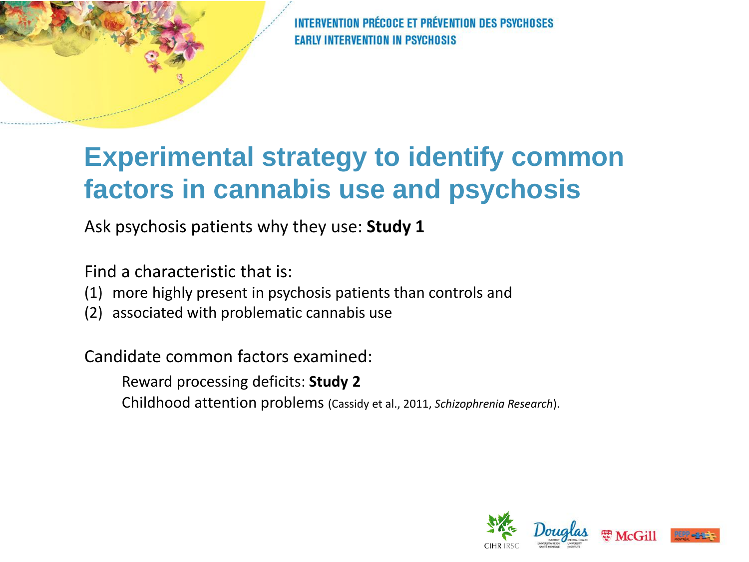# **Experimental strategy to identify common factors in cannabis use and psychosis**

Ask psychosis patients why they use: **Study 1**

Find a characteristic that is:

- (1) more highly present in psychosis patients than controls and
- (2) associated with problematic cannabis use

Candidate common factors examined:

Reward processing deficits: **Study 2**

Childhood attention problems (Cassidy et al., 2011, *Schizophrenia Research*).

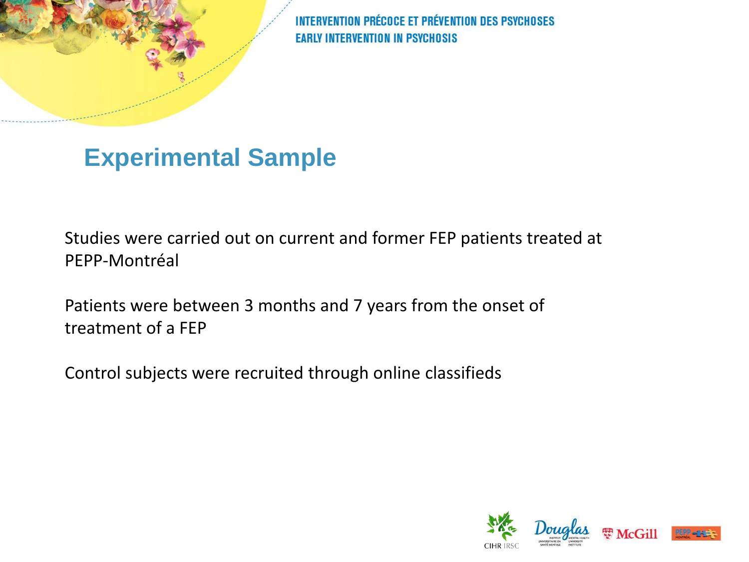### **Experimental Sample**

Studies were carried out on current and former FEP patients treated at PEPP-Montréal

Patients were between 3 months and 7 years from the onset of treatment of a FEP

Control subjects were recruited through online classifieds

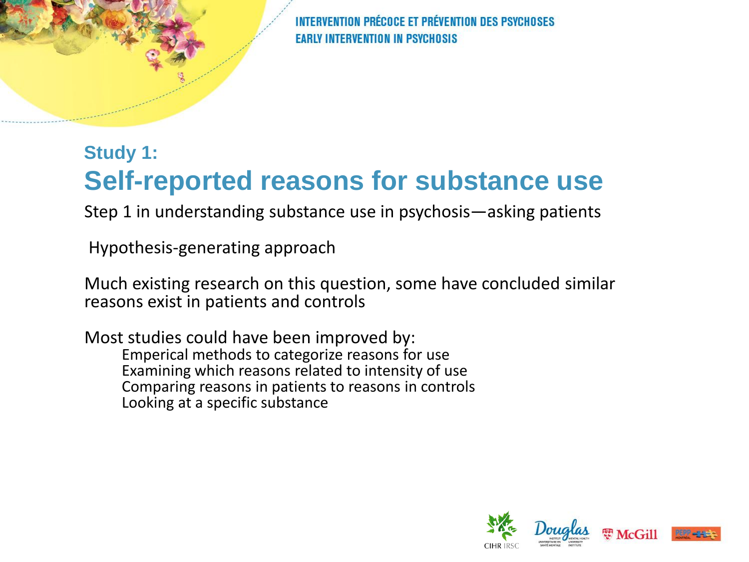#### **Study 1: Self-reported reasons for substance use**

Step 1 in understanding substance use in psychosis—asking patients

Hypothesis-generating approach

Much existing research on this question, some have concluded similar reasons exist in patients and controls

Most studies could have been improved by: Emperical methods to categorize reasons for use Examining which reasons related to intensity of use Comparing reasons in patients to reasons in controls Looking at a specific substance

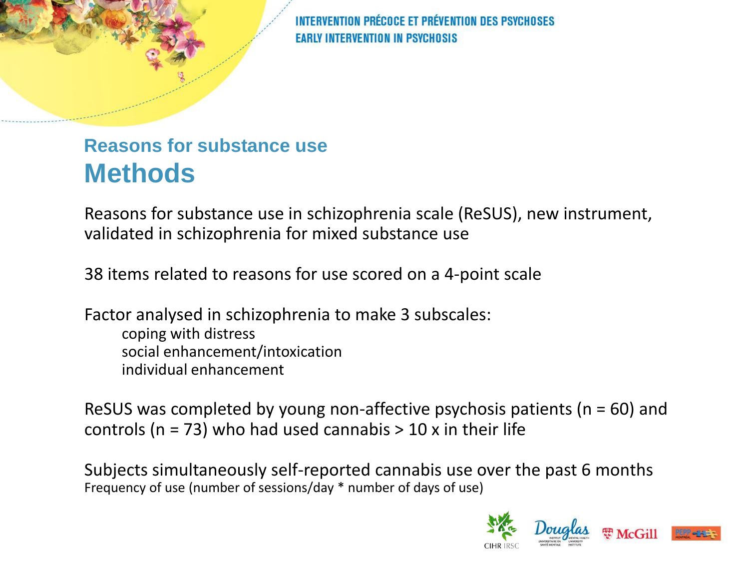#### **Reasons for substance use Methods**

Reasons for substance use in schizophrenia scale (ReSUS), new instrument, validated in schizophrenia for mixed substance use

38 items related to reasons for use scored on a 4-point scale

Factor analysed in schizophrenia to make 3 subscales: coping with distress social enhancement/intoxication individual enhancement

ReSUS was completed by young non-affective psychosis patients ( $n = 60$ ) and controls ( $n = 73$ ) who had used cannabis  $> 10$  x in their life

Subjects simultaneously self-reported cannabis use over the past 6 months Frequency of use (number of sessions/day \* number of days of use)

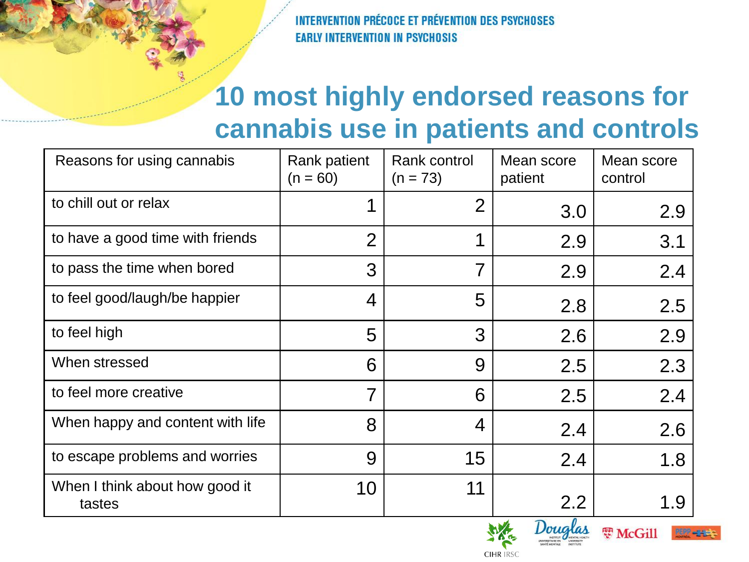## **10 most highly endorsed reasons for cannabis use in patients and controls**

| Reasons for using cannabis               | Rank patient<br>$(n = 60)$ | Rank control<br>$(n = 73)$ | Mean score<br>patient | Mean score<br>control |  |
|------------------------------------------|----------------------------|----------------------------|-----------------------|-----------------------|--|
| to chill out or relax                    |                            | 2                          | 3.0                   | 2.9                   |  |
| to have a good time with friends         | $\overline{2}$             | 1                          | 2.9                   | 3.1                   |  |
| to pass the time when bored              | 3                          | $\overline{7}$             | 2.9                   | 2.4                   |  |
| to feel good/laugh/be happier            | 4                          | 5                          | 2.8                   | 2.5                   |  |
| to feel high                             | 5                          | 3                          | 2.6                   | 2.9                   |  |
| When stressed                            | 6                          | 9                          | 2.5                   | 2.3                   |  |
| to feel more creative                    | 7                          | 6                          | 2.5                   | 2.4                   |  |
| When happy and content with life         | 8                          | 4                          | 2.4                   | 2.6                   |  |
| to escape problems and worries           | 9                          | 15                         | 2.4                   | 1.8                   |  |
| When I think about how good it<br>tastes | 10                         | 11                         | 2.2                   | 1.9                   |  |





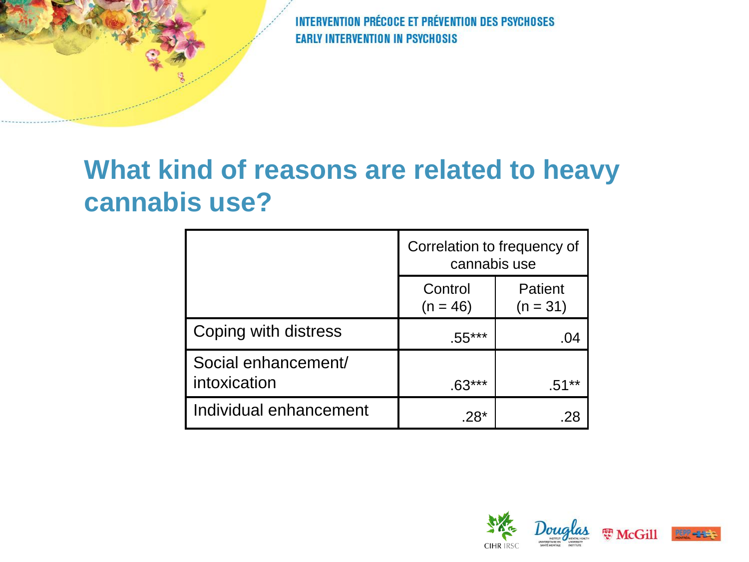# **What kind of reasons are related to heavy cannabis use?**

|                                     | Correlation to frequency of<br>cannabis use |                       |  |
|-------------------------------------|---------------------------------------------|-----------------------|--|
|                                     | Control<br>$(n = 46)$                       | Patient<br>$(n = 31)$ |  |
| Coping with distress                | $.55***$                                    | .04                   |  |
| Social enhancement/<br>intoxication | $.63***$                                    | $.51***$              |  |
| Individual enhancement              | $.28*$                                      |                       |  |

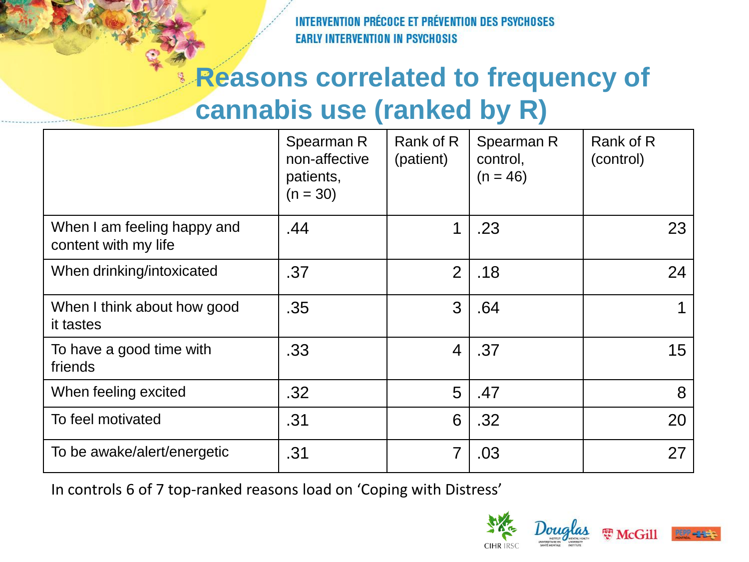# **Reasons correlated to frequency of cannabis use (ranked by R)**

|                                                     | Spearman R<br>non-affective<br>patients,<br>$(n = 30)$ | Rank of R<br>(patient) | Spearman R<br>control,<br>$(n = 46)$ | Rank of R<br>(control) |
|-----------------------------------------------------|--------------------------------------------------------|------------------------|--------------------------------------|------------------------|
| When I am feeling happy and<br>content with my life | .44                                                    | 1                      | .23                                  | 23                     |
| When drinking/intoxicated                           | .37                                                    | $\overline{2}$         | .18                                  | 24                     |
| When I think about how good<br>it tastes            | .35                                                    | 3                      | .64                                  |                        |
| To have a good time with<br>friends                 | .33                                                    | 4                      | .37                                  | 15                     |
| When feeling excited                                | .32                                                    | 5                      | .47                                  | 8                      |
| To feel motivated                                   | .31                                                    | 6                      | .32                                  | 20                     |
| To be awake/alert/energetic                         | .31                                                    | 7                      | .03                                  | 27                     |

In controls 6 of 7 top-ranked reasons load on 'Coping with Distress'

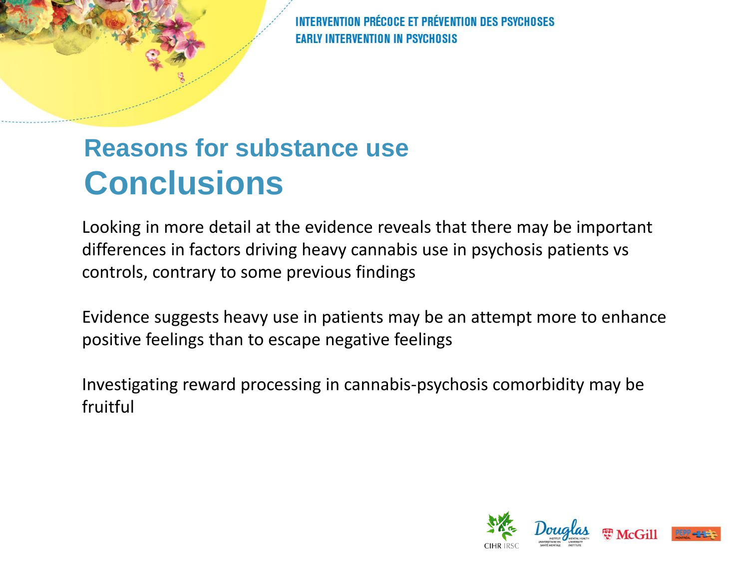# **Reasons for substance use Conclusions**

Looking in more detail at the evidence reveals that there may be important differences in factors driving heavy cannabis use in psychosis patients vs controls, contrary to some previous findings

Evidence suggests heavy use in patients may be an attempt more to enhance positive feelings than to escape negative feelings

Investigating reward processing in cannabis-psychosis comorbidity may be fruitful

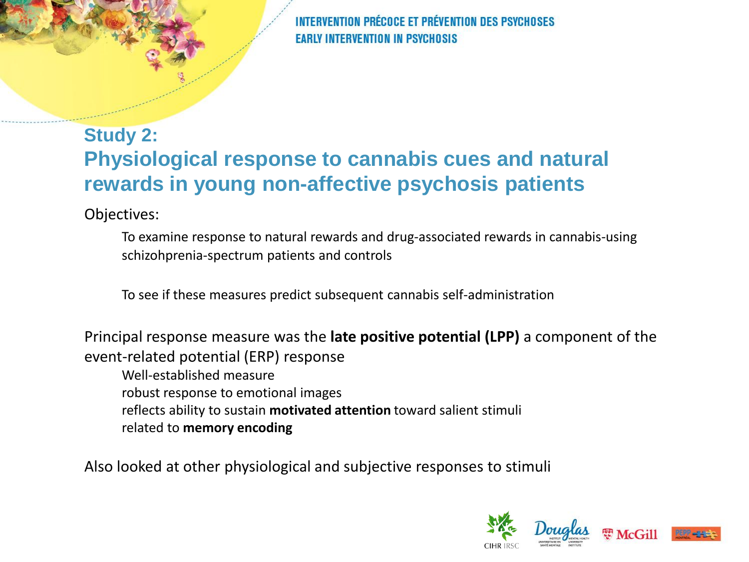#### **Study 2: Physiological response to cannabis cues and natural rewards in young non-affective psychosis patients**

Objectives:

To examine response to natural rewards and drug-associated rewards in cannabis-using schizohprenia-spectrum patients and controls

To see if these measures predict subsequent cannabis self-administration

Principal response measure was the **late positive potential (LPP)** a component of the event-related potential (ERP) response

Well-established measure robust response to emotional images reflects ability to sustain **motivated attention** toward salient stimuli related to **memory encoding**

Also looked at other physiological and subjective responses to stimuli

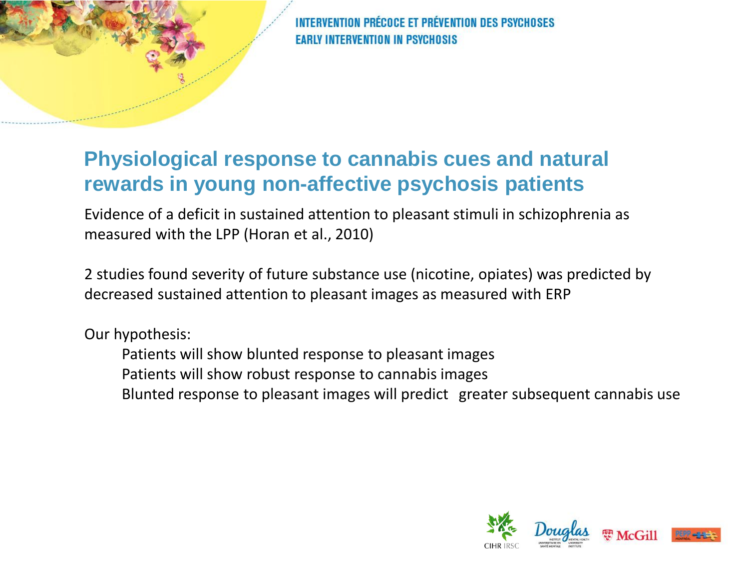

#### **Physiological response to cannabis cues and natural rewards in young non-affective psychosis patients**

Evidence of a deficit in sustained attention to pleasant stimuli in schizophrenia as measured with the LPP (Horan et al., 2010)

2 studies found severity of future substance use (nicotine, opiates) was predicted by decreased sustained attention to pleasant images as measured with ERP

Our hypothesis:

- Patients will show blunted response to pleasant images
- Patients will show robust response to cannabis images
- Blunted response to pleasant images will predict greater subsequent cannabis use

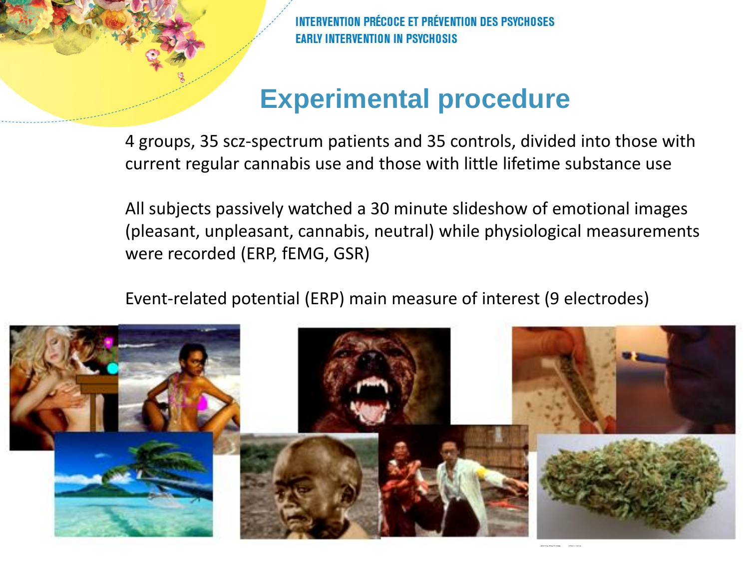## **Experimental procedure**

4 groups, 35 scz-spectrum patients and 35 controls, divided into those with current regular cannabis use and those with little lifetime substance use

All subjects passively watched a 30 minute slideshow of emotional images (pleasant, unpleasant, cannabis, neutral) while physiological measurements were recorded (ERP, fEMG, GSR)

Event-related potential (ERP) main measure of interest (9 electrodes)

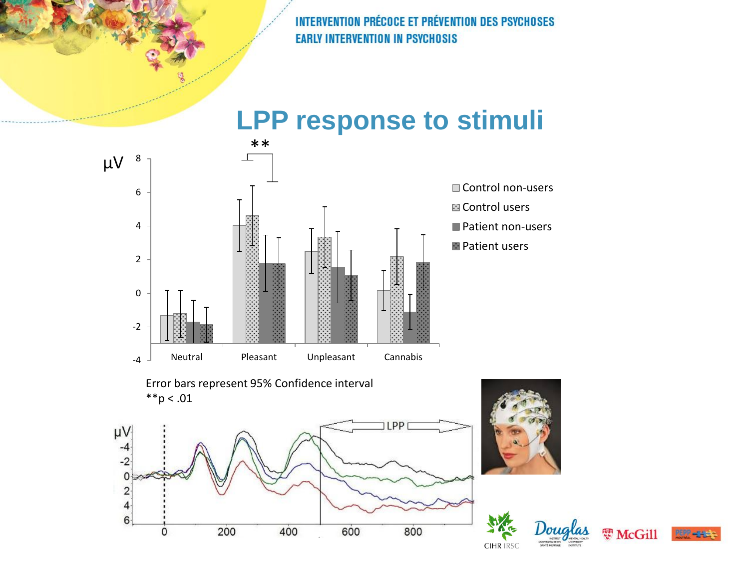



Error bars represent 95% Confidence interval  $*$  $p < .01$ 









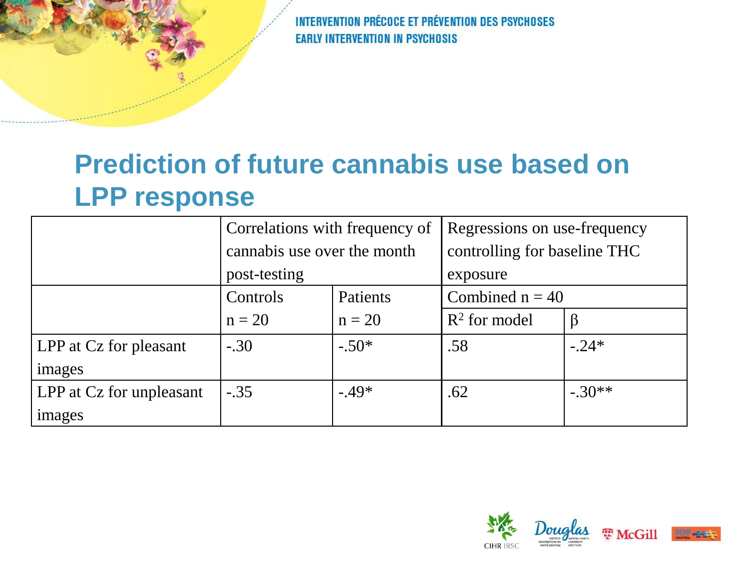## **Prediction of future cannabis use based on LPP response**

|                          | Correlations with frequency of |          | Regressions on use-frequency |          |
|--------------------------|--------------------------------|----------|------------------------------|----------|
|                          | cannabis use over the month    |          | controlling for baseline THC |          |
|                          | post-testing                   |          | exposure                     |          |
|                          | Controls<br>Patients           |          | Combined $n = 40$            |          |
|                          | $n = 20$                       | $n = 20$ | $R^2$ for model              | $\beta$  |
| LPP at Cz for pleasant   | $-.30$                         | $-.50*$  | .58                          | $-.24*$  |
| images                   |                                |          |                              |          |
| LPP at Cz for unpleasant | $-.35$                         | $-.49*$  | .62                          | $-.30**$ |
| images                   |                                |          |                              |          |

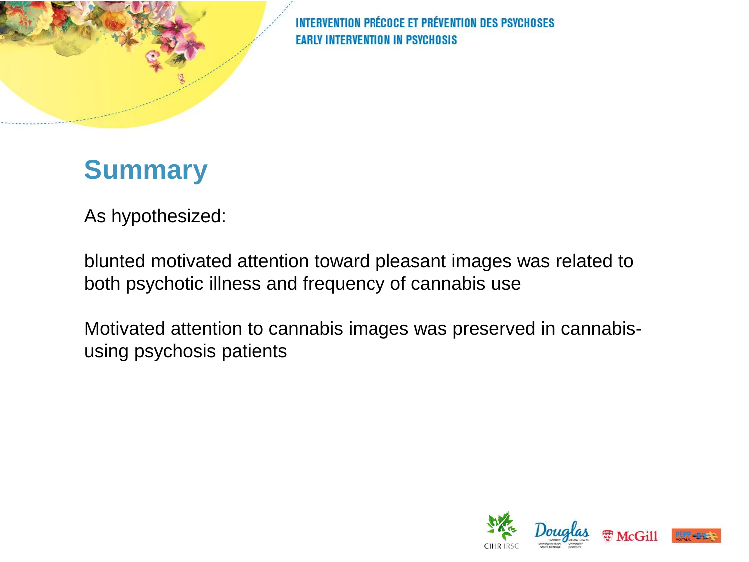

## **Summary**

As hypothesized:

blunted motivated attention toward pleasant images was related to both psychotic illness and frequency of cannabis use

Motivated attention to cannabis images was preserved in cannabisusing psychosis patients

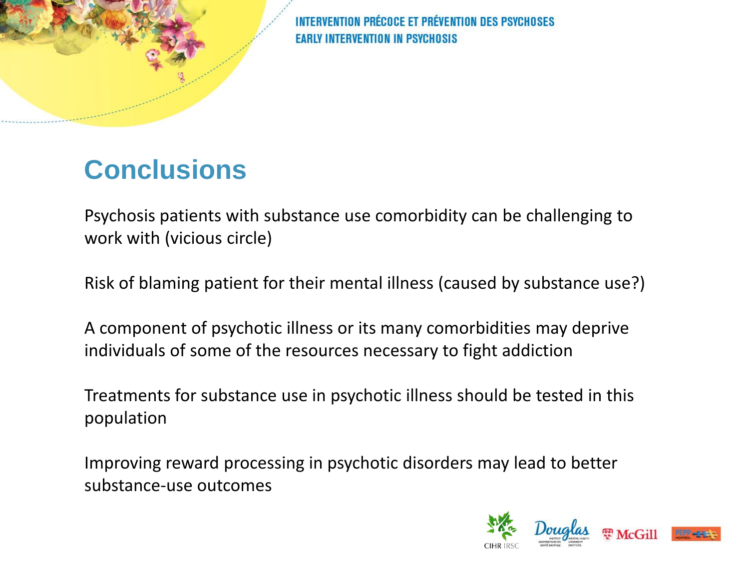# **Conclusions**

Psychosis patients with substance use comorbidity can be challenging to work with (vicious circle)

Risk of blaming patient for their mental illness (caused by substance use?)

A component of psychotic illness or its many comorbidities may deprive individuals of some of the resources necessary to fight addiction

Treatments for substance use in psychotic illness should be tested in this population

Improving reward processing in psychotic disorders may lead to better substance-use outcomes